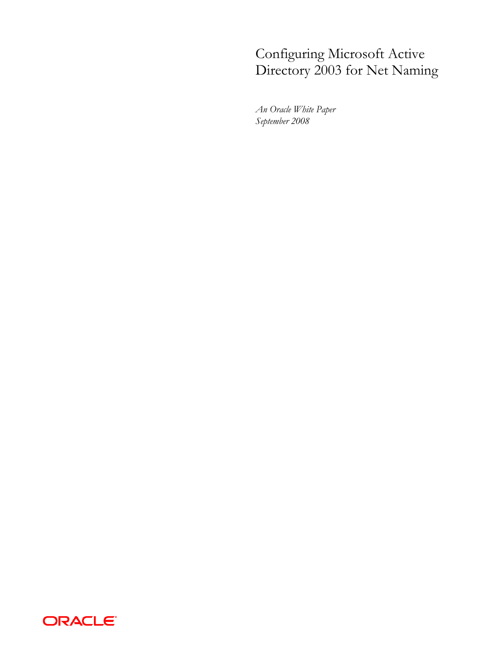# Configuring Microsoft Active Directory 2003 for Net Naming

*An Oracle White Paper September 2008*

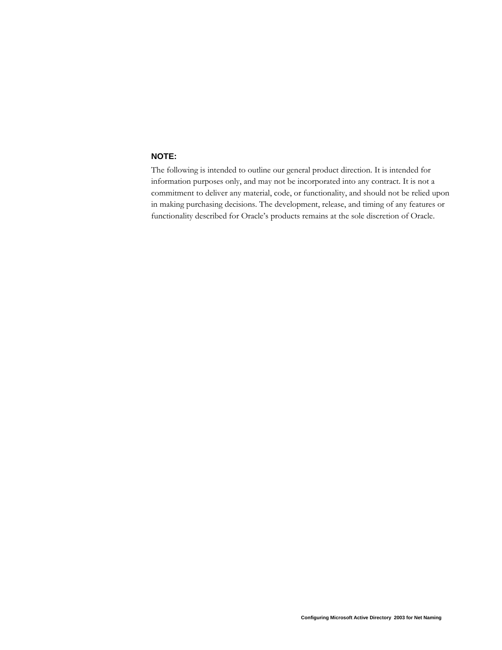### <span id="page-1-0"></span>**NOTE:**

The following is intended to outline our general product direction. It is intended for information purposes only, and may not be incorporated into any contract. It is not a commitment to deliver any material, code, or functionality, and should not be relied upon in making purchasing decisions. The development, release, and timing of any features or functionality described for Oracle's products remains at the sole discretion of Oracle.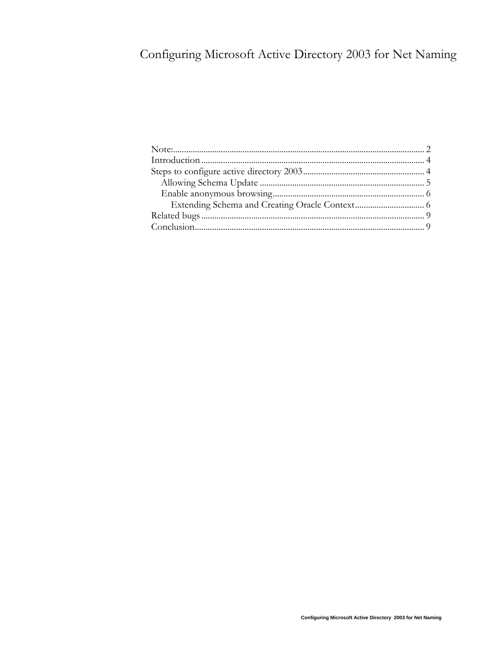# Configuring Microsoft Active Directory 2003 for Net Naming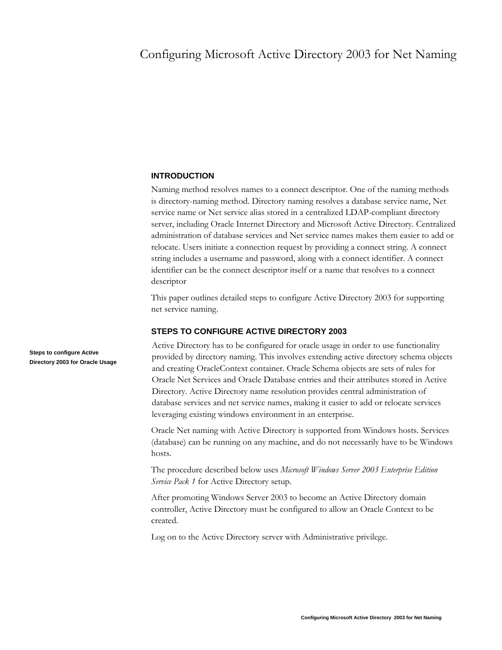## <span id="page-3-0"></span>Configuring Microsoft Active Directory 2003 for Net Naming

#### **INTRODUCTION**

Naming method resolves names to a connect descriptor. One of the naming methods is directory-naming method. Directory naming resolves a database service name, Net service name or Net service alias stored in a centralized LDAP-compliant directory server, including Oracle Internet Directory and Microsoft Active Directory. Centralized administration of database services and Net service names makes them easier to add or relocate. Users initiate a connection request by providing a connect string. A connect string includes a username and password, along with a connect identifier. A connect identifier can be the connect descriptor itself or a name that resolves to a connect descriptor

This paper outlines detailed steps to configure Active Directory 2003 for supporting net service naming.

#### **STEPS TO CONFIGURE ACTIVE DIRECTORY 2003**

Active Directory has to be configured for oracle usage in order to use functionality provided by directory naming. This involves extending active directory schema objects and creating OracleContext container. Oracle Schema objects are sets of rules for Oracle Net Services and Oracle Database entries and their attributes stored in Active Directory. Active Directory name resolution provides central administration of database services and net service names, making it easier to add or relocate services leveraging existing windows environment in an enterprise.

Oracle Net naming with Active Directory is supported from Windows hosts. Services (database) can be running on any machine, and do not necessarily have to be Windows hosts.

The procedure described below uses *Microsoft Windows Server 2003 Enterprise Edition Service Pack 1* for Active Directory setup.

After promoting Windows Server 2003 to become an Active Directory domain controller, Active Directory must be configured to allow an Oracle Context to be created.

Log on to the Active Directory server with Administrative privilege.

**Steps to configure Active Directory 2003 for Oracle Usage**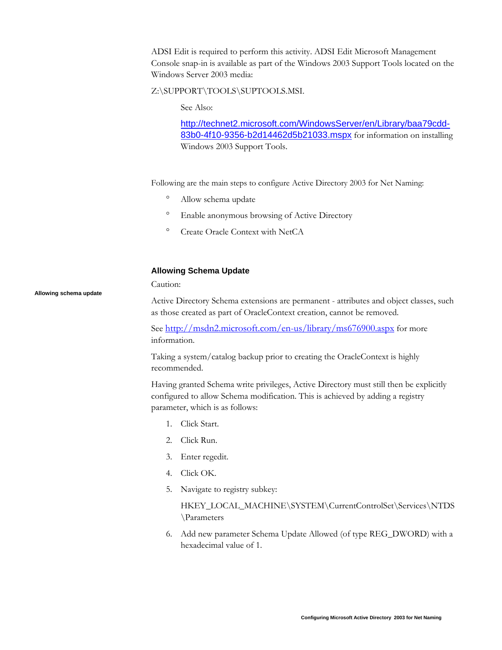<span id="page-4-0"></span>ADSI Edit is required to perform this activity. ADSI Edit Microsoft Management Console snap-in is available as part of the Windows 2003 Support Tools located on the Windows Server 2003 media:

#### Z:\SUPPORT\TOOLS\SUPTOOLS.MSI.

See Also:

[http://technet2.microsoft.com/WindowsServer/en/Library/baa79cdd-](http://technet2.microsoft.com/WindowsServer/en/Library/baa79cdd-83b0-4f10-9356-b2d14462d5b21033.mspx)[83b0-4f10-9356-b2d14462d5b21033.mspx](http://technet2.microsoft.com/WindowsServer/en/Library/baa79cdd-83b0-4f10-9356-b2d14462d5b21033.mspx) for information on installing Windows 2003 Support Tools.

Following are the main steps to configure Active Directory 2003 for Net Naming:

- ° Allow schema update
- ° Enable anonymous browsing of Active Directory
- ° Create Oracle Context with NetCA

#### **Allowing Schema Update**

**Allowing schema update** 

Caution:

Active Directory Schema extensions are permanent - attributes and object classes, such as those created as part of OracleContext creation, cannot be removed.

See <http://msdn2.microsoft.com/en-us/library/ms676900.aspx> for more information.

Taking a system/catalog backup prior to creating the OracleContext is highly recommended.

Having granted Schema write privileges, Active Directory must still then be explicitly configured to allow Schema modification. This is achieved by adding a registry parameter, which is as follows:

- 1. Click Start.
- 2. Click Run.
- 3. Enter regedit.
- 4. Click OK.
- 5. Navigate to registry subkey:

HKEY\_LOCAL\_MACHINE\SYSTEM\CurrentControlSet\Services\NTDS \Parameters

6. Add new parameter Schema Update Allowed (of type REG\_DWORD) with a hexadecimal value of 1.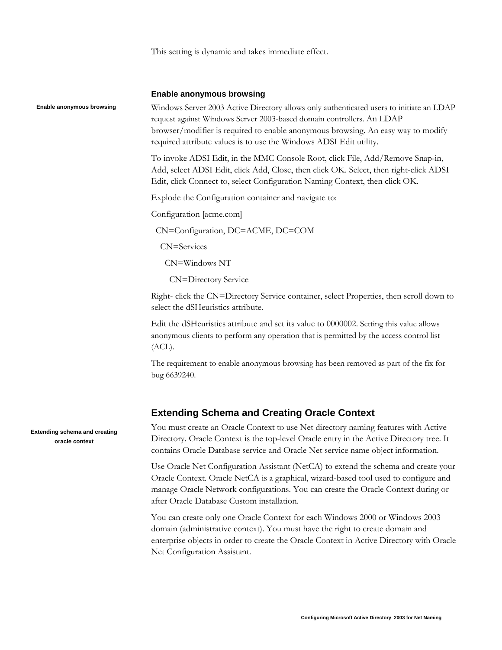This setting is dynamic and takes immediate effect.

#### **Enable anonymous browsing**

Windows Server 2003 Active Directory allows only authenticated users to initiate an LDAP request against Windows Server 2003-based domain controllers. An LDAP browser/modifier is required to enable anonymous browsing. An easy way to modify required attribute values is to use the Windows ADSI Edit utility.

To invoke ADSI Edit, in the MMC Console Root, click File, Add/Remove Snap-in, Add, select ADSI Edit, click Add, Close, then click OK. Select, then right-click ADSI Edit, click Connect to, select Configuration Naming Context, then click OK.

Explode the Configuration container and navigate to:

Configuration [acme.com]

CN=Configuration, DC=ACME, DC=COM

CN=Services

CN=Windows NT

CN=Directory Service

Right- click the CN=Directory Service container, select Properties, then scroll down to select the dSHeuristics attribute.

Edit the dSHeuristics attribute and set its value to 0000002. Setting this value allows anonymous clients to perform any operation that is permitted by the access control list (ACL).

The requirement to enable anonymous browsing has been removed as part of the fix for bug 6639240.

### **Extending Schema and Creating Oracle Context**

You must create an Oracle Context to use Net directory naming features with Active Directory. Oracle Context is the top-level Oracle entry in the Active Directory tree. It contains Oracle Database service and Oracle Net service name object information.

Use Oracle Net Configuration Assistant (NetCA) to extend the schema and create your Oracle Context. Oracle NetCA is a graphical, wizard-based tool used to configure and manage Oracle Network configurations. You can create the Oracle Context during or after Oracle Database Custom installation.

You can create only one Oracle Context for each Windows 2000 or Windows 2003 domain (administrative context). You must have the right to create domain and enterprise objects in order to create the Oracle Context in Active Directory with Oracle Net Configuration Assistant.

**Extending schema and creating oracle context** 

<span id="page-5-0"></span>**Enable anonymous browsing**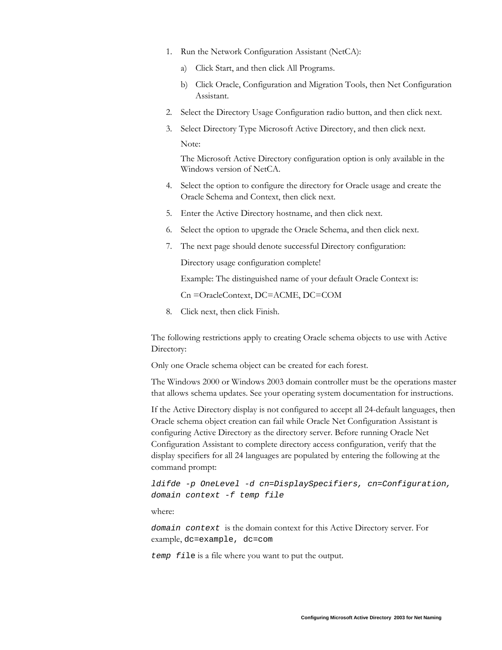- 1. Run the Network Configuration Assistant (NetCA):
	- a) Click Start, and then click All Programs.
	- b) Click Oracle, Configuration and Migration Tools, then Net Configuration Assistant.
- 2. Select the Directory Usage Configuration radio button, and then click next.
- 3. Select Directory Type Microsoft Active Directory, and then click next. Note:

The Microsoft Active Directory configuration option is only available in the Windows version of NetCA.

- 4. Select the option to configure the directory for Oracle usage and create the Oracle Schema and Context, then click next.
- 5. Enter the Active Directory hostname, and then click next.
- 6. Select the option to upgrade the Oracle Schema, and then click next.
- 7. The next page should denote successful Directory configuration:

Directory usage configuration complete!

Example: The distinguished name of your default Oracle Context is:

Cn =OracleContext, DC=ACME, DC=COM

8. Click next, then click Finish.

The following restrictions apply to creating Oracle schema objects to use with Active Directory:

Only one Oracle schema object can be created for each forest.

The Windows 2000 or Windows 2003 domain controller must be the operations master that allows schema updates. See your operating system documentation for instructions.

If the Active Directory display is not configured to accept all 24-default languages, then Oracle schema object creation can fail while Oracle Net Configuration Assistant is configuring Active Directory as the directory server. Before running Oracle Net Configuration Assistant to complete directory access configuration, verify that the display specifiers for all 24 languages are populated by entering the following at the command prompt:

*ldifde -p OneLevel -d cn=DisplaySpecifiers, cn=Configuration, domain context -f temp file* 

where:

*domain context* is the domain context for this Active Directory server. For example, dc=example, dc=com

*temp fi*le is a file where you want to put the output.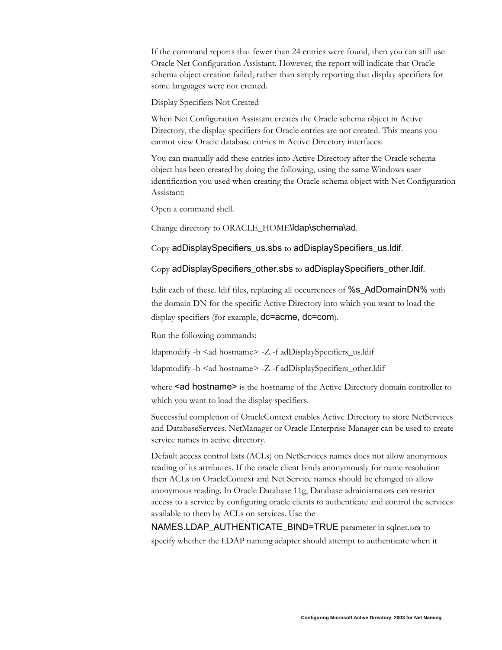If the command reports that fewer than 24 entries were found, then you can still use Oracle Net Configuration Assistant. However, the report will indicate that Oracle schema object creation failed, rather than simply reporting that display specifiers for some languages were not created.

Display Specifiers Not Created

When Net Configuration Assistant creates the Oracle schema object in Active Directory, the display specifiers for Oracle entries are not created. This means you cannot view Oracle database entries in Active Directory interfaces.

You can manually add these entries into Active Directory after the Oracle schema object has been created by doing the following, using the same Windows user identification you used when creating the Oracle schema object with Net Configuration Assistant:

Open a command shell.

Change directory to ORACLE\_HOME\ldap\schema\ad.

Copy adDisplaySpecifiers\_us.sbs to adDisplaySpecifiers\_us.ldif.

Copy adDisplaySpecifiers\_other.sbs to adDisplaySpecifiers\_other.ldif.

Edit each of these. Idif files, replacing all occurrences of %s AdDomainDN% with the domain DN for the specific Active Directory into which you want to load the display specifiers (for example, dc=acme, dc=com).

Run the following commands:

ldapmodify -h <ad hostname> -Z -f adDisplaySpecifiers\_us.ldif

ldapmodify -h <ad hostname> -Z -f adDisplaySpecifiers\_other.ldif

where <ad hostname> is the hostname of the Active Directory domain controller to which you want to load the display specifiers.

Successful completion of OracleContext enables Active Directory to store NetServices and DatabaseServces. NetManager or Oracle Enterprise Manager can be used to create service names in active directory.

Default access control lists (ACLs) on NetServices names does not allow anonymous reading of its attributes. If the oracle client binds anonymously for name resolution then ACLs on OracleContext and Net Service names should be changed to allow anonymous reading. In Oracle Database 11g, Database administrators can restrict access to a service by configuring oracle clients to authenticate and control the services available to them by ACLs on services. Use the

NAMES.LDAP\_AUTHENTICATE\_BIND=TRUE parameter in sqlnet.ora to specify whether the LDAP naming adapter should attempt to authenticate when it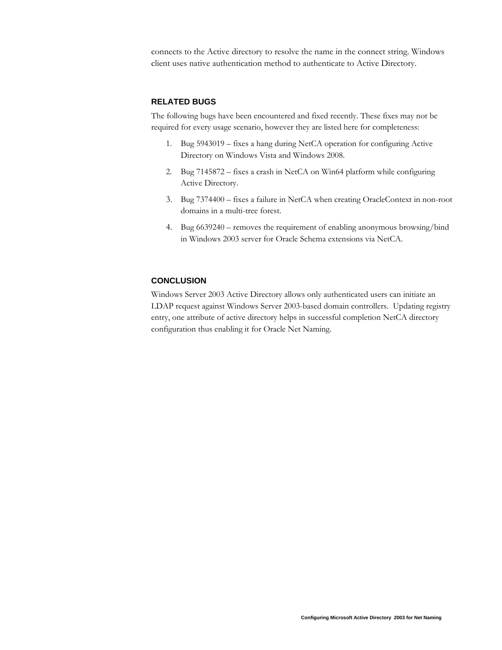<span id="page-8-0"></span>connects to the Active directory to resolve the name in the connect string. Windows client uses native authentication method to authenticate to Active Directory.

#### **RELATED BUGS**

The following bugs have been encountered and fixed recently. These fixes may not be required for every usage scenario, however they are listed here for completeness:

- 1. Bug 5943019 fixes a hang during NetCA operation for configuring Active Directory on Windows Vista and Windows 2008.
- 2. Bug 7145872 fixes a crash in NetCA on Win64 platform while configuring Active Directory.
- 3. Bug 7374400 fixes a failure in NetCA when creating OracleContext in non-root domains in a multi-tree forest.
- 4. Bug 6639240 removes the requirement of enabling anonymous browsing/bind in Windows 2003 server for Oracle Schema extensions via NetCA.

#### **CONCLUSION**

Windows Server 2003 Active Directory allows only authenticated users can initiate an LDAP request against Windows Server 2003-based domain controllers. Updating registry entry, one attribute of active directory helps in successful completion NetCA directory configuration thus enabling it for Oracle Net Naming.